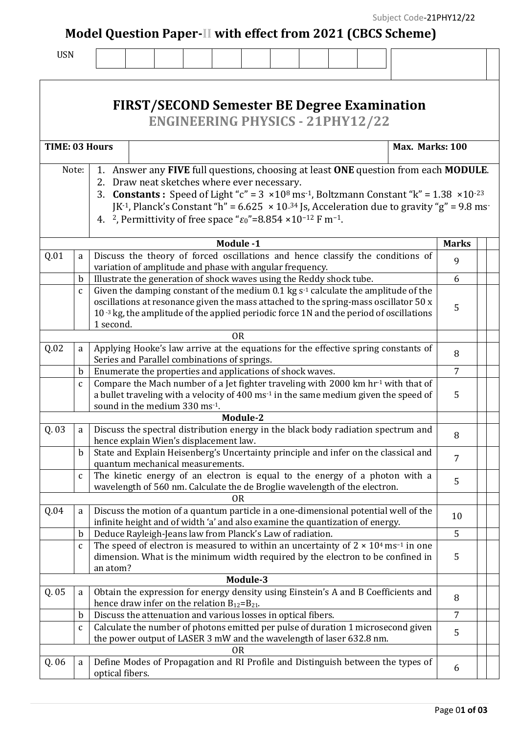**Model Question Paper-II with effect from 2021 (CBCS Scheme)**

| v<br>۰.<br>× | ۰. |
|--------------|----|
|--------------|----|

|                |              | <b>FIRST/SECOND Semester BE Degree Examination</b><br><b>ENGINEERING PHYSICS - 21PHY12/22</b>                                                                                                                                                                                                                                                                                                                                                                                                                        |                |  |  |
|----------------|--------------|----------------------------------------------------------------------------------------------------------------------------------------------------------------------------------------------------------------------------------------------------------------------------------------------------------------------------------------------------------------------------------------------------------------------------------------------------------------------------------------------------------------------|----------------|--|--|
| TIME: 03 Hours |              | Max. Marks: 100                                                                                                                                                                                                                                                                                                                                                                                                                                                                                                      |                |  |  |
|                | Note:        | 1. Answer any FIVE full questions, choosing at least ONE question from each MODULE.<br>2. Draw neat sketches where ever necessary.<br>3. <b>Constants</b> : Speed of Light "c" = $3 \times 10^8$ ms <sup>-1</sup> , Boltzmann Constant "k" = $1.38 \times 10^{-23}$<br>JK <sup>-1</sup> , Planck's Constant "h" = $6.625 \times 10^{-34}$ Js, Acceleration due to gravity "g" = $9.8$ ms<br>4. <sup>2</sup> , Permittivity of free space " $\varepsilon$ <sup>0"</sup> =8.854 ×10 <sup>-12</sup> F m <sup>-1</sup> . |                |  |  |
|                |              | Module -1                                                                                                                                                                                                                                                                                                                                                                                                                                                                                                            | <b>Marks</b>   |  |  |
| Q.01           | a            | Discuss the theory of forced oscillations and hence classify the conditions of                                                                                                                                                                                                                                                                                                                                                                                                                                       | 9              |  |  |
|                |              | variation of amplitude and phase with angular frequency.                                                                                                                                                                                                                                                                                                                                                                                                                                                             |                |  |  |
|                | $\mathbf b$  | Illustrate the generation of shock waves using the Reddy shock tube.                                                                                                                                                                                                                                                                                                                                                                                                                                                 | 6              |  |  |
|                | $\mathbf{C}$ | Given the damping constant of the medium $0.1$ kg s <sup>-1</sup> calculate the amplitude of the<br>oscillations at resonance given the mass attached to the spring-mass oscillator 50 x<br>$10^{-3}$ kg, the amplitude of the applied periodic force 1N and the period of oscillations<br>1 second.                                                                                                                                                                                                                 | 5              |  |  |
|                |              | 0 <sub>R</sub>                                                                                                                                                                                                                                                                                                                                                                                                                                                                                                       |                |  |  |
| Q.02           | a            | Applying Hooke's law arrive at the equations for the effective spring constants of<br>Series and Parallel combinations of springs.                                                                                                                                                                                                                                                                                                                                                                                   | 8              |  |  |
|                | $\mathbf b$  | Enumerate the properties and applications of shock waves.                                                                                                                                                                                                                                                                                                                                                                                                                                                            | 7              |  |  |
|                | $\mathbf{C}$ | Compare the Mach number of a Jet fighter traveling with 2000 km hr-1 with that of<br>a bullet traveling with a velocity of 400 ms <sup>-1</sup> in the same medium given the speed of<br>sound in the medium 330 ms <sup>-1</sup> .                                                                                                                                                                                                                                                                                  | 5              |  |  |
|                |              | Module-2                                                                                                                                                                                                                                                                                                                                                                                                                                                                                                             |                |  |  |
| Q. 03          | a            | Discuss the spectral distribution energy in the black body radiation spectrum and<br>hence explain Wien's displacement law.                                                                                                                                                                                                                                                                                                                                                                                          | 8              |  |  |
|                | $\mathbf b$  | State and Explain Heisenberg's Uncertainty principle and infer on the classical and<br>quantum mechanical measurements.                                                                                                                                                                                                                                                                                                                                                                                              |                |  |  |
|                | $\mathbf{C}$ | The kinetic energy of an electron is equal to the energy of a photon with a<br>wavelength of 560 nm. Calculate the de Broglie wavelength of the electron.                                                                                                                                                                                                                                                                                                                                                            |                |  |  |
| Q.04           | a            | 0 <sub>R</sub><br>Discuss the motion of a quantum particle in a one-dimensional potential well of the<br>infinite height and of width 'a' and also examine the quantization of energy.                                                                                                                                                                                                                                                                                                                               | 10             |  |  |
|                | $\mathbf b$  | Deduce Rayleigh-Jeans law from Planck's Law of radiation.                                                                                                                                                                                                                                                                                                                                                                                                                                                            | 5              |  |  |
|                | $\mathbf{C}$ | The speed of electron is measured to within an uncertainty of $2 \times 10^4$ ms <sup>-1</sup> in one<br>dimension. What is the minimum width required by the electron to be confined in<br>an atom?                                                                                                                                                                                                                                                                                                                 | 5              |  |  |
|                |              | Module-3                                                                                                                                                                                                                                                                                                                                                                                                                                                                                                             |                |  |  |
| Q.05           | a            | Obtain the expression for energy density using Einstein's A and B Coefficients and<br>hence draw infer on the relation $B_{12}=B_{21}$ .                                                                                                                                                                                                                                                                                                                                                                             | 8              |  |  |
|                | $\mathbf b$  | Discuss the attenuation and various losses in optical fibers.                                                                                                                                                                                                                                                                                                                                                                                                                                                        | $\overline{7}$ |  |  |
|                | $\mathbf{C}$ | Calculate the number of photons emitted per pulse of duration 1 microsecond given<br>the power output of LASER 3 mW and the wavelength of laser 632.8 nm.                                                                                                                                                                                                                                                                                                                                                            | 5              |  |  |
|                |              | 0R                                                                                                                                                                                                                                                                                                                                                                                                                                                                                                                   |                |  |  |
| Q. 06          | a            | Define Modes of Propagation and RI Profile and Distinguish between the types of<br>optical fibers.                                                                                                                                                                                                                                                                                                                                                                                                                   | 6              |  |  |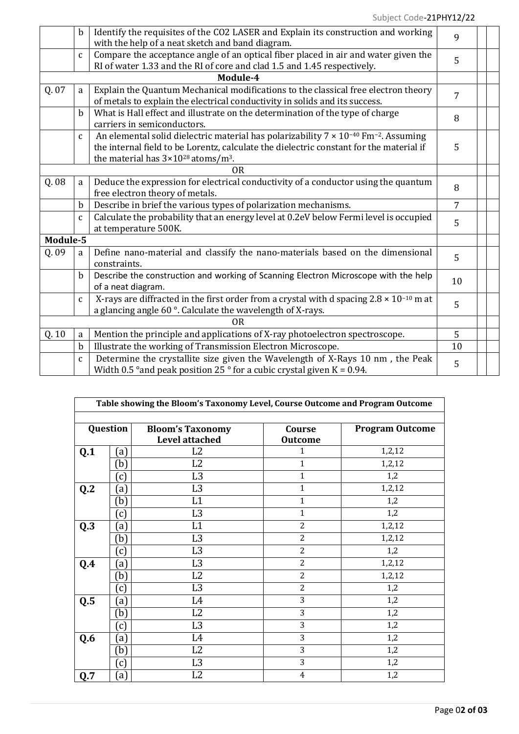|          | $\mathbf b$  | Identify the requisites of the CO2 LASER and Explain its construction and working                         | 9              |  |
|----------|--------------|-----------------------------------------------------------------------------------------------------------|----------------|--|
|          |              | with the help of a neat sketch and band diagram.                                                          |                |  |
|          | $\mathbf{C}$ | Compare the acceptance angle of an optical fiber placed in air and water given the                        | 5              |  |
|          |              | RI of water 1.33 and the RI of core and clad 1.5 and 1.45 respectively.                                   |                |  |
|          |              | Module-4                                                                                                  |                |  |
| Q. 07    | a            | Explain the Quantum Mechanical modifications to the classical free electron theory                        | 7              |  |
|          |              | of metals to explain the electrical conductivity in solids and its success.                               |                |  |
|          | b.           | What is Hall effect and illustrate on the determination of the type of charge                             |                |  |
|          |              | carriers in semiconductors.                                                                               | 8              |  |
|          | $\mathbf{C}$ | An elemental solid dielectric material has polarizability $7 \times 10^{-40}$ Fm <sup>-2</sup> . Assuming |                |  |
|          |              | the internal field to be Lorentz, calculate the dielectric constant for the material if                   | 5              |  |
|          |              | the material has $3 \times 10^{28}$ atoms/m <sup>3</sup> .                                                |                |  |
|          |              | 0 <sub>R</sub>                                                                                            |                |  |
| Q. 08    | a            | Deduce the expression for electrical conductivity of a conductor using the quantum                        | 8              |  |
|          |              | free electron theory of metals.                                                                           |                |  |
|          | b            | Describe in brief the various types of polarization mechanisms.                                           | $\overline{7}$ |  |
|          | $\mathbf{C}$ | Calculate the probability that an energy level at 0.2eV below Fermi level is occupied                     | 5              |  |
|          |              | at temperature 500K.                                                                                      |                |  |
| Module-5 |              |                                                                                                           |                |  |
| Q.09     | a            | Define nano-material and classify the nano-materials based on the dimensional                             | 5              |  |
|          |              | constraints.                                                                                              |                |  |
|          | $\mathbf b$  | Describe the construction and working of Scanning Electron Microscope with the help                       |                |  |
|          |              | of a neat diagram.                                                                                        | 10             |  |
|          | $\mathbf{C}$ | X-rays are diffracted in the first order from a crystal with d spacing $2.8 \times 10^{-10}$ m at         | 5              |  |
|          |              | a glancing angle 60°. Calculate the wavelength of X-rays.                                                 |                |  |
|          |              | 0R                                                                                                        |                |  |
| Q.10     | a            | Mention the principle and applications of X-ray photoelectron spectroscope.                               | 5              |  |
|          | $\mathbf b$  | Illustrate the working of Transmission Electron Microscope.                                               | 10             |  |
|          | $\mathbf{C}$ | Determine the crystallite size given the Wavelength of X-Rays 10 nm, the Peak                             |                |  |
|          |              | Width 0.5 ° and peak position 25 ° for a cubic crystal given $K = 0.94$ .                                 | 5              |  |

|                | Table showing the Bloom's Taxonomy Level, Course Outcome and Program Outcome |                                                  |                          |                        |  |
|----------------|------------------------------------------------------------------------------|--------------------------------------------------|--------------------------|------------------------|--|
| Question       |                                                                              | <b>Bloom's Taxonomy</b><br><b>Level attached</b> | Course<br><b>Outcome</b> | <b>Program Outcome</b> |  |
| Q.1            | (a)                                                                          | L2                                               | 1                        | 1,2,12                 |  |
|                | (b)                                                                          | L2                                               | $\mathbf{1}$             | 1,2,12                 |  |
|                | (c)                                                                          | L <sub>3</sub>                                   | $\mathbf{1}$             | 1,2                    |  |
| Q <sub>2</sub> | (a)                                                                          | L <sub>3</sub>                                   | $\mathbf{1}$             | 1,2,12                 |  |
|                | (b)                                                                          | L1                                               | $\mathbf{1}$             | 1,2                    |  |
|                | (c)                                                                          | L <sub>3</sub>                                   | $\mathbf{1}$             | 1,2                    |  |
| Q.3            | (a)                                                                          | L1                                               | $\overline{2}$           | 1,2,12                 |  |
|                | (b)                                                                          | L <sub>3</sub>                                   | $\overline{2}$           | 1,2,12                 |  |
|                | (c)                                                                          | L <sub>3</sub>                                   | 2                        | 1,2                    |  |
| Q.4            | (a)                                                                          | L <sub>3</sub>                                   | $\overline{2}$           | 1,2,12                 |  |
|                | (b)                                                                          | L <sub>2</sub>                                   | $\overline{2}$           | 1,2,12                 |  |
|                | (c)                                                                          | L <sub>3</sub>                                   | $\overline{2}$           | 1,2                    |  |
| Q.5            | (a)                                                                          | L <sub>4</sub>                                   | 3                        | 1,2                    |  |
|                | (b)                                                                          | L2                                               | 3                        | 1,2                    |  |
|                | (c)                                                                          | L <sub>3</sub>                                   | 3                        | 1,2                    |  |
| Q.6            | (a)                                                                          | L4                                               | 3                        | 1,2                    |  |
|                | (b)                                                                          | L <sub>2</sub>                                   | 3                        | 1,2                    |  |
|                | (c)                                                                          | L <sub>3</sub>                                   | 3                        | 1,2                    |  |
| Q.7            | (a)                                                                          | L <sub>2</sub>                                   | $\overline{4}$           | 1,2                    |  |